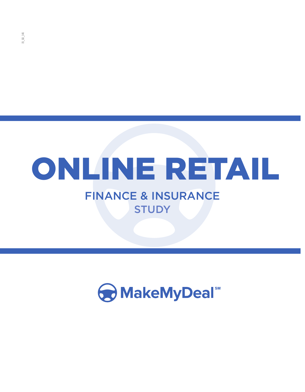# **STUDY** ONLINE RETAIL FINANCE & INSURANCE

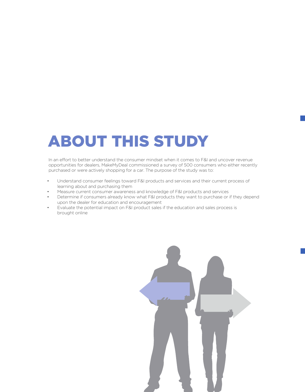## ABOUT THIS STUDY

In an effort to better understand the consumer mindset when it comes to F&I and uncover revenue opportunities for dealers, MakeMyDeal commissioned a survey of 500 consumers who either recently purchased or were actively shopping for a car. The purpose of the study was to:

- Understand consumer feelings toward F&I products and services and their current process of learning about and purchasing them
- Measure current consumer awareness and knowledge of F&I products and services
- Determine if consumers already know what F&I products they want to purchase or if they depend upon the dealer for education and encouragement
- Evaluate the potential impact on F&I product sales if the education and sales process is brought online

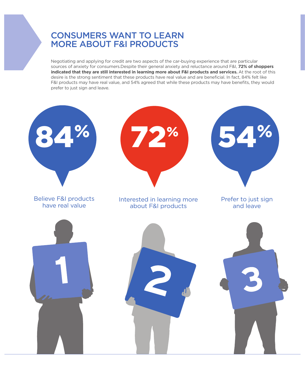## CONSUMERS WANT TO LEARN MORE ABOUT F&I PRODUCTS

Negotiating and applying for credit are two aspects of the car-buying experience that are particular sources of anxiety for consumers.Despite their general anxiety and reluctance around F&I, **72% of shoppers indicated that they are still interested in learning more about F&I products and services.** At the root of this desire is the strong sentiment that these products have real value and are beneficial. In fact, 84% felt like F&I products may have real value, and 54% agreed that while these products may have benefits, they would prefer to just sign and leave.

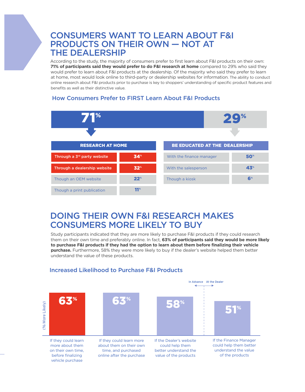### CONSUMERS WANT TO LEARN ABOUT F&I PRODUCTS ON THEIR OWN — NOT AT THE DEALERSHIP

According to the study, the majority of consumers prefer to first learn about F&I products on their own: **71% of participants said they would prefer to do F&I research at home** compared to 29% who said they would prefer to learn about F&I products at the dealership. Of the majority who said they prefer to learn at home, most would look online to third-party or dealership websites for information. The ability to conduct online research about F&I products prior to purchase is key to shoppers' understanding of specific product features and benefits as well as their distinctive value.

#### How Consumers Prefer to FIRST Learn About F&I Products



### DOING THEIR OWN F&I RESEARCH MAKES CONSUMERS MORE LIKELY TO BUY

Study participants indicated that they are more likely to purchase F&I products if they could research them on their own time and preferably online. In fact, **63% of participants said they would be more likely to purchase F&I products if they had the option to learn about them before finalizing their vehicle purchase.** Furthermore, 58% they were more likely to buy if the dealer's website helped them better understand the value of these products.



#### Increased Likelihood to Purchase F&I Products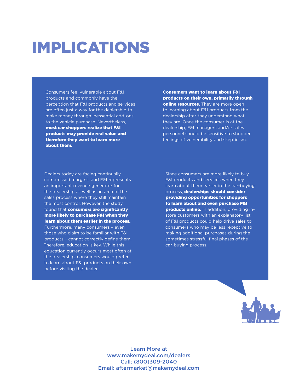## IMPLICATIONS

Consumers feel vulnerable about F&I products and commonly have the perception that F&I products and services are often just a way for the dealership to make money through inessential add-ons to the vehicle purchase. Nevertheless, most car shoppers realize that F&I products may provide real value and therefore they want to learn more about them.

Consumers want to learn about F&I products on their own, primarily through online resources. They are more open to learning about F&I products from the dealership after they understand what they are. Once the consumer is at the dealership, F&I managers and/or sales personnel should be sensitive to shopper feelings of vulnerability and skepticism.

Dealers today are facing continually compressed margins, and F&I represents an important revenue generator for the dealership as well as an area of the sales process where they still maintain the most control. However, the study found that **consumers are significantly** more likely to purchase F&I when they learn about them earlier in the process. Furthermore, many consumers – even those who claim to be familiar with F&I products – cannot correctly define them. Therefore, education is key. While this education currently occurs most often at the dealership, consumers would prefer to learn about F&I products on their own before visiting the dealer.

Since consumers are more likely to buy F&I products and services when they learn about them earlier in the car-buying process, dealerships should consider providing opportunities for shoppers to learn about and even purchase F&I products online. In addition, providing instore customers with an explanatory list of F&I products could help drive sales to consumers who may be less receptive to making additional purchases during the sometimes stressful final phases of the car-buying process.



Learn More at www.makemydeal.com/dealers Call: (800)309-2040 Email: aftermarket@makemydeal.com